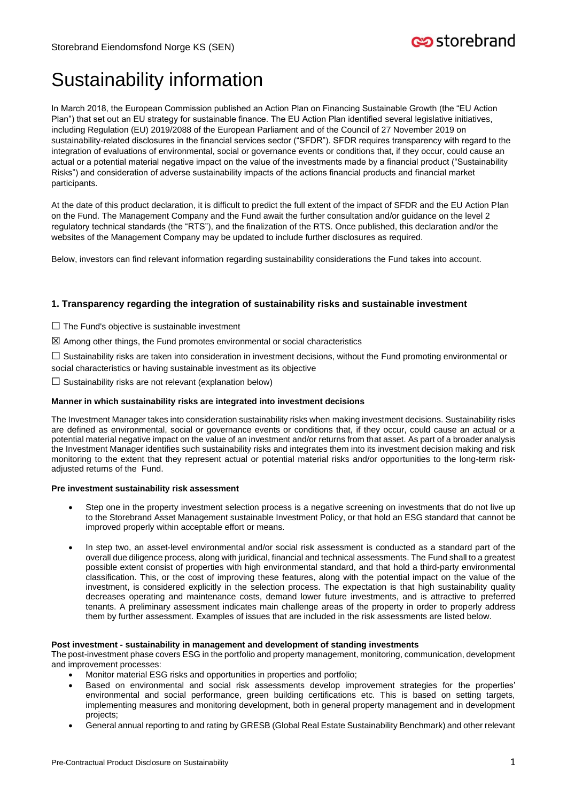# **c**ostorebrand

# Sustainability information

In March 2018, the European Commission published an Action Plan on Financing Sustainable Growth (the "EU Action Plan") that set out an EU strategy for sustainable finance. The EU Action Plan identified several legislative initiatives, including Regulation (EU) 2019/2088 of the European Parliament and of the Council of 27 November 2019 on sustainability-related disclosures in the financial services sector ("SFDR"). SFDR requires transparency with regard to the integration of evaluations of environmental, social or governance events or conditions that, if they occur, could cause an actual or a potential material negative impact on the value of the investments made by a financial product ("Sustainability Risks") and consideration of adverse sustainability impacts of the actions financial products and financial market participants.

At the date of this product declaration, it is difficult to predict the full extent of the impact of SFDR and the EU Action Plan on the Fund. The Management Company and the Fund await the further consultation and/or guidance on the level 2 regulatory technical standards (the "RTS"), and the finalization of the RTS. Once published, this declaration and/or the websites of the Management Company may be updated to include further disclosures as required.

Below, investors can find relevant information regarding sustainability considerations the Fund takes into account.

# **1. Transparency regarding the integration of sustainability risks and sustainable investment**

- $\Box$  The Fund's objective is sustainable investment
- $\boxtimes$  Among other things, the Fund promotes environmental or social characteristics

 $\square$  Sustainability risks are taken into consideration in investment decisions, without the Fund promoting environmental or social characteristics or having sustainable investment as its objective

- 
- $\Box$  Sustainability risks are not relevant (explanation below)

# **Manner in which sustainability risks are integrated into investment decisions**

The Investment Manager takes into consideration sustainability risks when making investment decisions. Sustainability risks are defined as environmental, social or governance events or conditions that, if they occur, could cause an actual or a potential material negative impact on the value of an investment and/or returns from that asset. As part of a broader analysis the Investment Manager identifies such sustainability risks and integrates them into its investment decision making and risk monitoring to the extent that they represent actual or potential material risks and/or opportunities to the long-term riskadjusted returns of the Fund.

#### **Pre investment sustainability risk assessment**

- Step one in the property investment selection process is a negative screening on investments that do not live up to the Storebrand Asset Management sustainable Investment Policy, or that hold an ESG standard that cannot be improved properly within acceptable effort or means.
- In step two, an asset-level environmental and/or social risk assessment is conducted as a standard part of the overall due diligence process, along with juridical, financial and technical assessments. The Fund shall to a greatest possible extent consist of properties with high environmental standard, and that hold a third-party environmental classification. This, or the cost of improving these features, along with the potential impact on the value of the investment, is considered explicitly in the selection process. The expectation is that high sustainability quality decreases operating and maintenance costs, demand lower future investments, and is attractive to preferred tenants. A preliminary assessment indicates main challenge areas of the property in order to properly address them by further assessment. Examples of issues that are included in the risk assessments are listed below.

#### **Post investment - sustainability in management and development of standing investments**

The post-investment phase covers ESG in the portfolio and property management, monitoring, communication, development and improvement processes:

- Monitor material ESG risks and opportunities in properties and portfolio;
- Based on environmental and social risk assessments develop improvement strategies for the properties' environmental and social performance, green building certifications etc. This is based on setting targets, implementing measures and monitoring development, both in general property management and in development projects;
- General annual reporting to and rating by GRESB (Global Real Estate Sustainability Benchmark) and other relevant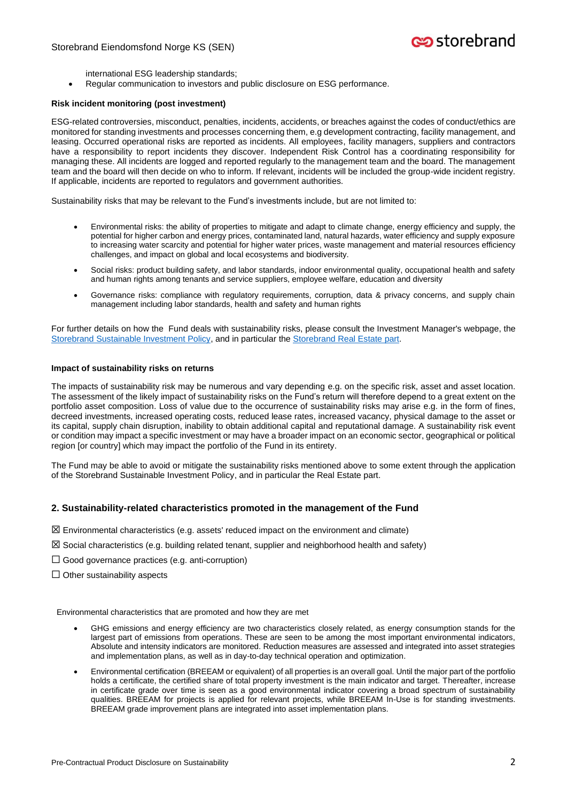international ESG leadership standards;

• Regular communication to investors and public disclosure on ESG performance.

#### **Risk incident monitoring (post investment)**

ESG-related controversies, misconduct, penalties, incidents, accidents, or breaches against the codes of conduct/ethics are monitored for standing investments and processes concerning them, e.g development contracting, facility management, and leasing. Occurred operational risks are reported as incidents. All employees, facility managers, suppliers and contractors have a responsibility to report incidents they discover. Independent Risk Control has a coordinating responsibility for managing these. All incidents are logged and reported regularly to the management team and the board. The management team and the board will then decide on who to inform. If relevant, incidents will be included the group-wide incident registry. If applicable, incidents are reported to regulators and government authorities.

Sustainability risks that may be relevant to the Fund's investments include, but are not limited to:

- Environmental risks: the ability of properties to mitigate and adapt to climate change, energy efficiency and supply, the potential for higher carbon and energy prices, contaminated land, natural hazards, water efficiency and supply exposure to increasing water scarcity and potential for higher water prices, waste management and material resources efficiency challenges, and impact on global and local ecosystems and biodiversity.
- Social risks: product building safety, and labor standards, indoor environmental quality, occupational health and safety and human rights among tenants and service suppliers, employee welfare, education and diversity
- Governance risks: compliance with regulatory requirements, corruption, data & privacy concerns, and supply chain management including labor standards, health and safety and human rights

For further details on how the Fund deals with sustainability risks, please consult the Investment Manager's webpage, the [Storebrand Sustainable Investment Policy,](https://www.storebrand.no/en/asset-management/sustainable-investments/sfdr) and in particular the [Storebrand Real Estate part.](https://www.storebrand.no/asset-management/eiendom/barekraftige-eiendomsinvesteringer/SFDR)

#### **Impact of sustainability risks on returns**

The impacts of sustainability risk may be numerous and vary depending e.g. on the specific risk, asset and asset location. The assessment of the likely impact of sustainability risks on the Fund's return will therefore depend to a great extent on the portfolio asset composition. Loss of value due to the occurrence of sustainability risks may arise e.g. in the form of fines, decreed investments, increased operating costs, reduced lease rates, increased vacancy, physical damage to the asset or its capital, supply chain disruption, inability to obtain additional capital and reputational damage. A sustainability risk event or condition may impact a specific investment or may have a broader impact on an economic sector, geographical or political region [or country] which may impact the portfolio of the Fund in its entirety.

The Fund may be able to avoid or mitigate the sustainability risks mentioned above to some extent through the application of the Storebrand Sustainable Investment Policy, and in particular the Real Estate part.

### **2. Sustainability-related characteristics promoted in the management of the Fund**

- $\boxtimes$  Environmental characteristics (e.g. assets' reduced impact on the environment and climate)
- $\boxtimes$  Social characteristics (e.g. building related tenant, supplier and neighborhood health and safety)
- $\Box$  Good governance practices (e.g. anti-corruption)
- $\Box$  Other sustainability aspects

Environmental characteristics that are promoted and how they are met

- GHG emissions and energy efficiency are two characteristics closely related, as energy consumption stands for the largest part of emissions from operations. These are seen to be among the most important environmental indicators, Absolute and intensity indicators are monitored. Reduction measures are assessed and integrated into asset strategies and implementation plans, as well as in day-to-day technical operation and optimization.
- Environmental certification (BREEAM or equivalent) of all properties is an overall goal. Until the major part of the portfolio holds a certificate, the certified share of total property investment is the main indicator and target. Thereafter, increase in certificate grade over time is seen as a good environmental indicator covering a broad spectrum of sustainability qualities. BREEAM for projects is applied for relevant projects, while BREEAM In-Use is for standing investments. BREEAM grade improvement plans are integrated into asset implementation plans.